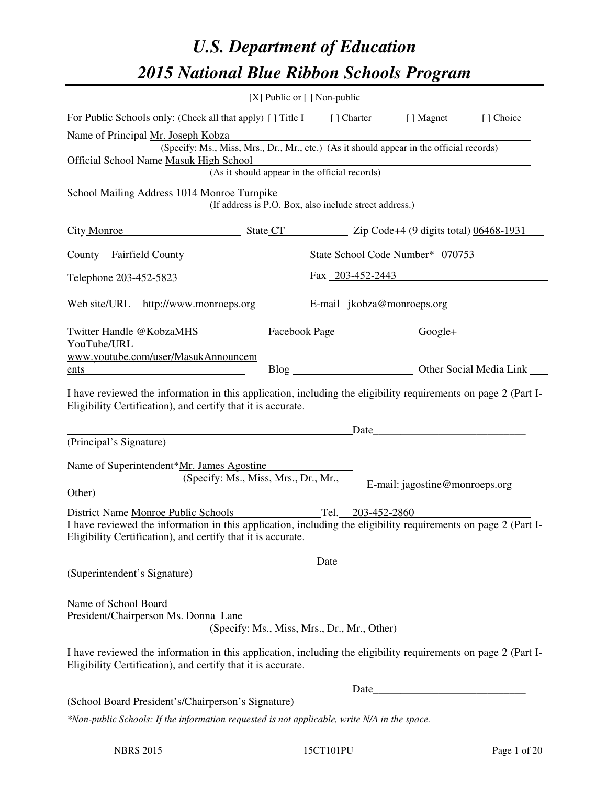# *U.S. Department of Education 2015 National Blue Ribbon Schools Program*

|                                                                                                                                                                                                                       | [X] Public or [] Non-public                            |      |                   |                                             |                                           |  |  |
|-----------------------------------------------------------------------------------------------------------------------------------------------------------------------------------------------------------------------|--------------------------------------------------------|------|-------------------|---------------------------------------------|-------------------------------------------|--|--|
| For Public Schools only: (Check all that apply) [] Title I [] Charter [] Magnet                                                                                                                                       |                                                        |      |                   |                                             | [] Choice                                 |  |  |
| Name of Principal Mr. Joseph Kobza<br>(Specify: Ms., Miss, Mrs., Dr., Mr., etc.) (As it should appear in the official records)<br>Official School Name Masuk High School                                              |                                                        |      |                   |                                             |                                           |  |  |
|                                                                                                                                                                                                                       | (As it should appear in the official records)          |      |                   |                                             |                                           |  |  |
| School Mailing Address 1014 Monroe Turnpike                                                                                                                                                                           | (If address is P.O. Box, also include street address.) |      |                   |                                             |                                           |  |  |
| City Monroe State CT State CT Zip Code+4 (9 digits total) 06468-1931                                                                                                                                                  |                                                        |      |                   |                                             |                                           |  |  |
| County Fairfield County State School Code Number* 070753                                                                                                                                                              |                                                        |      |                   |                                             |                                           |  |  |
| Telephone 203-452-5823 Fax 203-452-2443                                                                                                                                                                               |                                                        |      |                   |                                             |                                           |  |  |
| Web site/URL http://www.monroeps.org E-mail jkobza@monroeps.org                                                                                                                                                       |                                                        |      |                   |                                             |                                           |  |  |
| Twitter Handle @KobzaMHS<br>YouTube/URL                                                                                                                                                                               |                                                        |      |                   |                                             | Facebook Page Google+ Consumers Consumers |  |  |
| www.youtube.com/user/MasukAnnouncem<br>ents                                                                                                                                                                           |                                                        |      |                   |                                             |                                           |  |  |
| I have reviewed the information in this application, including the eligibility requirements on page 2 (Part I-<br>Eligibility Certification), and certify that it is accurate.                                        |                                                        |      |                   |                                             |                                           |  |  |
|                                                                                                                                                                                                                       |                                                        |      |                   | Date                                        |                                           |  |  |
| (Principal's Signature)                                                                                                                                                                                               |                                                        |      |                   |                                             |                                           |  |  |
| Name of Superintendent*Mr. James Agostine                                                                                                                                                                             | (Specify: Ms., Miss, Mrs., Dr., Mr.,                   |      |                   | E-mail: jagostine@monroeps.org              |                                           |  |  |
| Other)                                                                                                                                                                                                                |                                                        |      |                   |                                             |                                           |  |  |
| District Name Monroe Public Schools<br>I have reviewed the information in this application, including the eligibility requirements on page 2 (Part I-<br>Eligibility Certification), and certify that it is accurate. |                                                        |      | Tel. 203-452-2860 |                                             |                                           |  |  |
|                                                                                                                                                                                                                       |                                                        | Date |                   |                                             |                                           |  |  |
| (Superintendent's Signature)                                                                                                                                                                                          |                                                        |      |                   |                                             |                                           |  |  |
| Name of School Board<br>President/Chairperson Ms. Donna Lane                                                                                                                                                          |                                                        |      |                   | (Specify: Ms., Miss, Mrs., Dr., Mr., Other) |                                           |  |  |
| I have reviewed the information in this application, including the eligibility requirements on page 2 (Part I-<br>Eligibility Certification), and certify that it is accurate.                                        |                                                        |      |                   |                                             |                                           |  |  |
|                                                                                                                                                                                                                       |                                                        |      | Date              |                                             |                                           |  |  |
| (School Board President's/Chairperson's Signature)                                                                                                                                                                    |                                                        |      |                   |                                             |                                           |  |  |
| *Non-public Schools: If the information requested is not applicable, write N/A in the space.                                                                                                                          |                                                        |      |                   |                                             |                                           |  |  |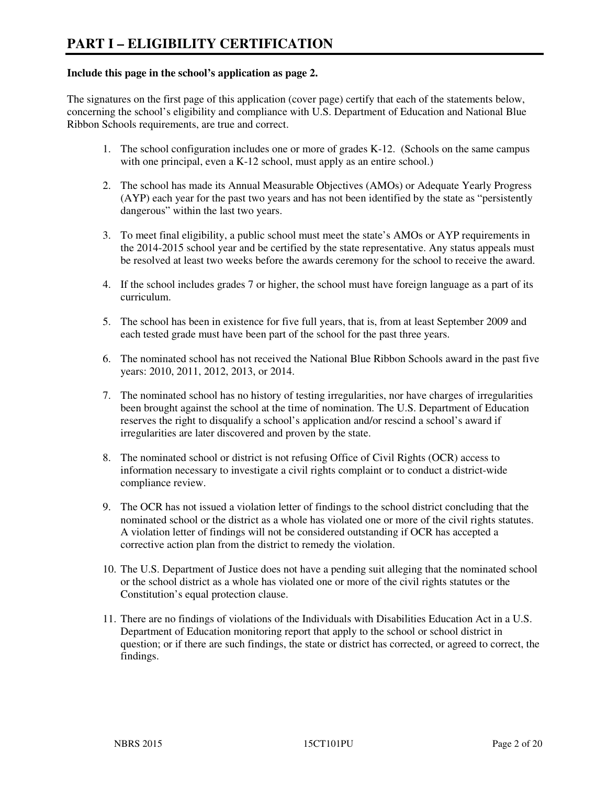#### **Include this page in the school's application as page 2.**

The signatures on the first page of this application (cover page) certify that each of the statements below, concerning the school's eligibility and compliance with U.S. Department of Education and National Blue Ribbon Schools requirements, are true and correct.

- 1. The school configuration includes one or more of grades K-12. (Schools on the same campus with one principal, even a K-12 school, must apply as an entire school.)
- 2. The school has made its Annual Measurable Objectives (AMOs) or Adequate Yearly Progress (AYP) each year for the past two years and has not been identified by the state as "persistently dangerous" within the last two years.
- 3. To meet final eligibility, a public school must meet the state's AMOs or AYP requirements in the 2014-2015 school year and be certified by the state representative. Any status appeals must be resolved at least two weeks before the awards ceremony for the school to receive the award.
- 4. If the school includes grades 7 or higher, the school must have foreign language as a part of its curriculum.
- 5. The school has been in existence for five full years, that is, from at least September 2009 and each tested grade must have been part of the school for the past three years.
- 6. The nominated school has not received the National Blue Ribbon Schools award in the past five years: 2010, 2011, 2012, 2013, or 2014.
- 7. The nominated school has no history of testing irregularities, nor have charges of irregularities been brought against the school at the time of nomination. The U.S. Department of Education reserves the right to disqualify a school's application and/or rescind a school's award if irregularities are later discovered and proven by the state.
- 8. The nominated school or district is not refusing Office of Civil Rights (OCR) access to information necessary to investigate a civil rights complaint or to conduct a district-wide compliance review.
- 9. The OCR has not issued a violation letter of findings to the school district concluding that the nominated school or the district as a whole has violated one or more of the civil rights statutes. A violation letter of findings will not be considered outstanding if OCR has accepted a corrective action plan from the district to remedy the violation.
- 10. The U.S. Department of Justice does not have a pending suit alleging that the nominated school or the school district as a whole has violated one or more of the civil rights statutes or the Constitution's equal protection clause.
- 11. There are no findings of violations of the Individuals with Disabilities Education Act in a U.S. Department of Education monitoring report that apply to the school or school district in question; or if there are such findings, the state or district has corrected, or agreed to correct, the findings.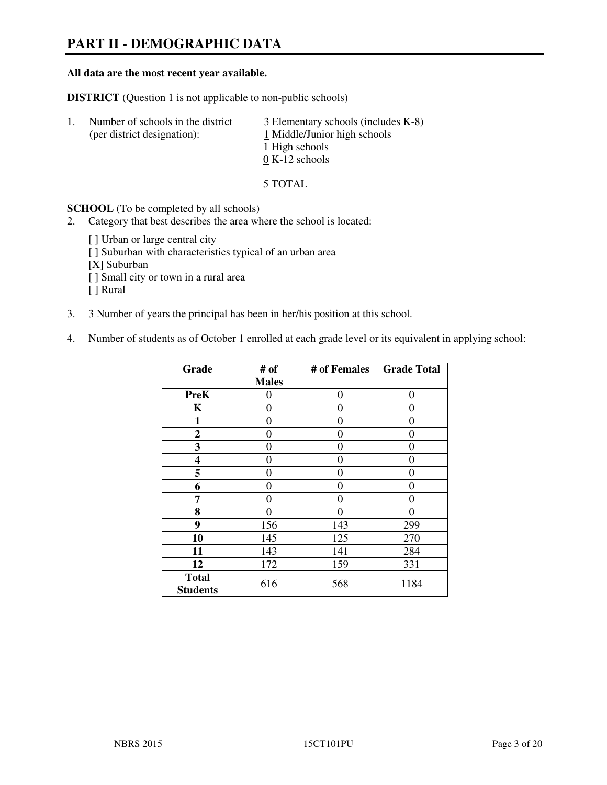# **PART II - DEMOGRAPHIC DATA**

#### **All data are the most recent year available.**

**DISTRICT** (Question 1 is not applicable to non-public schools)

| -1. | Number of schools in the district<br>(per district designation): | $\frac{3}{2}$ Elementary schools (includes K-8)<br>1 Middle/Junior high schools<br>1 High schools<br>$0 K-12$ schools |
|-----|------------------------------------------------------------------|-----------------------------------------------------------------------------------------------------------------------|
|     |                                                                  |                                                                                                                       |

5 TOTAL

**SCHOOL** (To be completed by all schools)

- 2. Category that best describes the area where the school is located:
	- [] Urban or large central city
	- [ ] Suburban with characteristics typical of an urban area
	- [X] Suburban
	- [ ] Small city or town in a rural area
	- [ ] Rural
- 3. 3 Number of years the principal has been in her/his position at this school.
- 4. Number of students as of October 1 enrolled at each grade level or its equivalent in applying school:

| Grade                           | # of         | # of Females | <b>Grade Total</b> |
|---------------------------------|--------------|--------------|--------------------|
|                                 | <b>Males</b> |              |                    |
| <b>PreK</b>                     | 0            | $\theta$     | $\theta$           |
| K                               | 0            | 0            | 0                  |
| 1                               | 0            | 0            | $\theta$           |
| $\mathbf{2}$                    | 0            | 0            | 0                  |
| 3                               | 0            | 0            | $\theta$           |
| 4                               | 0            | 0            | 0                  |
| 5                               | 0            | 0            | $\theta$           |
| 6                               | 0            | 0            | 0                  |
| 7                               | 0            | 0            | 0                  |
| 8                               | 0            | 0            | 0                  |
| 9                               | 156          | 143          | 299                |
| 10                              | 145          | 125          | 270                |
| 11                              | 143          | 141          | 284                |
| 12                              | 172          | 159          | 331                |
| <b>Total</b><br><b>Students</b> | 616          | 568          | 1184               |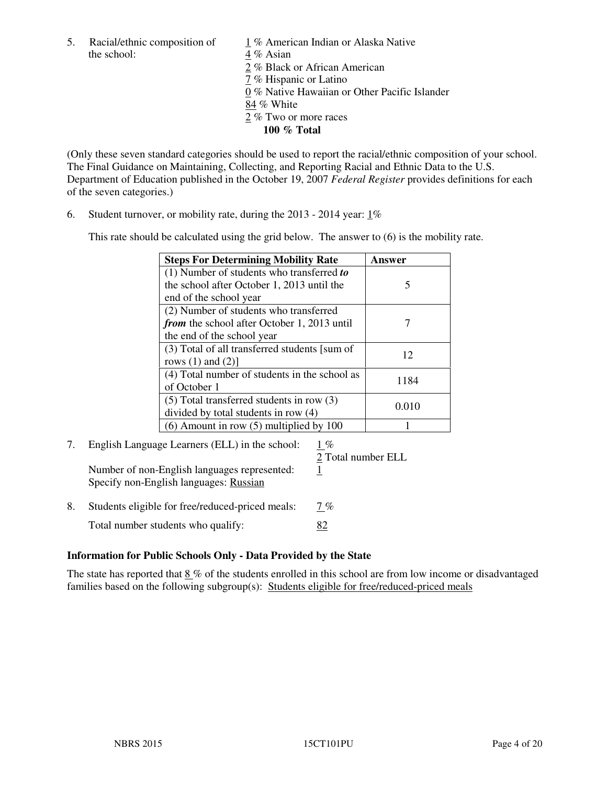5. Racial/ethnic composition of  $1\%$  American Indian or Alaska Native the school:  $4\%$  Asian

 2 % Black or African American 7 % Hispanic or Latino 0 % Native Hawaiian or Other Pacific Islander 84 % White 2 % Two or more races **100 % Total** 

(Only these seven standard categories should be used to report the racial/ethnic composition of your school. The Final Guidance on Maintaining, Collecting, and Reporting Racial and Ethnic Data to the U.S. Department of Education published in the October 19, 2007 *Federal Register* provides definitions for each of the seven categories.)

6. Student turnover, or mobility rate, during the 2013 - 2014 year: 1%

This rate should be calculated using the grid below. The answer to (6) is the mobility rate.

| <b>Steps For Determining Mobility Rate</b>         | Answer |
|----------------------------------------------------|--------|
| $(1)$ Number of students who transferred to        |        |
| the school after October 1, 2013 until the         | 5      |
| end of the school year                             |        |
| (2) Number of students who transferred             |        |
| <i>from</i> the school after October 1, 2013 until |        |
| the end of the school year                         |        |
| (3) Total of all transferred students [sum of      | 12     |
| rows $(1)$ and $(2)$ ]                             |        |
| (4) Total number of students in the school as      | 1184   |
| of October 1                                       |        |
| $(5)$ Total transferred students in row $(3)$      | 0.010  |
| divided by total students in row (4)               |        |
| $(6)$ Amount in row $(5)$ multiplied by 100        |        |

# 7. English Language Learners (ELL) in the school: 1 %

Number of non-English languages represented: 1 Specify non-English languages: Russian

2 Total number ELL

8. Students eligible for free/reduced-priced meals:  $7\%$ Total number students who qualify: 82

#### **Information for Public Schools Only - Data Provided by the State**

The state has reported that  $8\%$  of the students enrolled in this school are from low income or disadvantaged families based on the following subgroup(s): Students eligible for free/reduced-priced meals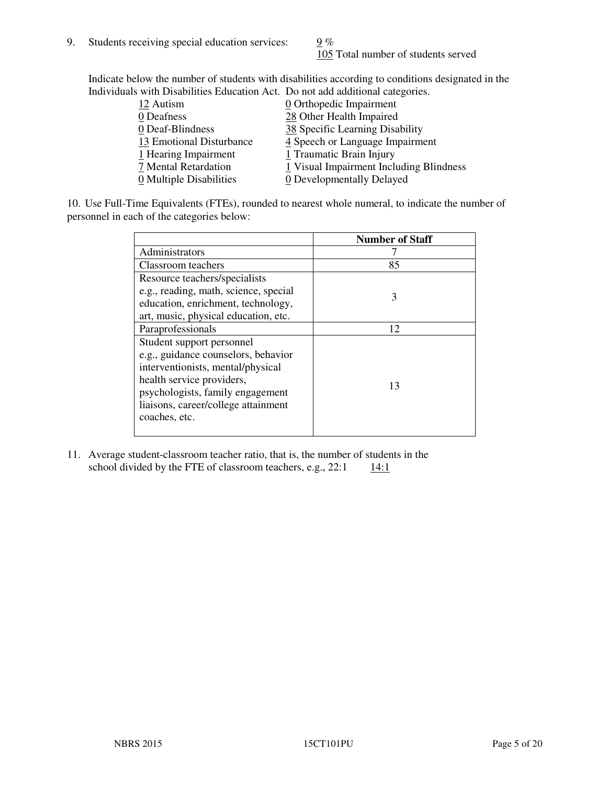105 Total number of students served

Indicate below the number of students with disabilities according to conditions designated in the Individuals with Disabilities Education Act. Do not add additional categories.

| <u>marritano with Disachitity Buatanon ritti Do not auu auunchai talegorito.</u> |                                         |
|----------------------------------------------------------------------------------|-----------------------------------------|
| 12 Autism                                                                        | $\underline{0}$ Orthopedic Impairment   |
| 0 Deafness                                                                       | 28 Other Health Impaired                |
| 0 Deaf-Blindness                                                                 | 38 Specific Learning Disability         |
| 13 Emotional Disturbance                                                         | 4 Speech or Language Impairment         |
| 1 Hearing Impairment                                                             | 1 Traumatic Brain Injury                |
| 7 Mental Retardation                                                             | 1 Visual Impairment Including Blindness |
| 0 Multiple Disabilities                                                          | <b>0</b> Developmentally Delayed        |
|                                                                                  |                                         |

10. Use Full-Time Equivalents (FTEs), rounded to nearest whole numeral, to indicate the number of personnel in each of the categories below:

|                                       | <b>Number of Staff</b> |
|---------------------------------------|------------------------|
| Administrators                        |                        |
| Classroom teachers                    | 85                     |
| Resource teachers/specialists         |                        |
| e.g., reading, math, science, special | 3                      |
| education, enrichment, technology,    |                        |
| art, music, physical education, etc.  |                        |
| Paraprofessionals                     | 12                     |
| Student support personnel             |                        |
| e.g., guidance counselors, behavior   |                        |
| interventionists, mental/physical     |                        |
| health service providers,             | 13                     |
| psychologists, family engagement      |                        |
| liaisons, career/college attainment   |                        |
| coaches, etc.                         |                        |
|                                       |                        |

11. Average student-classroom teacher ratio, that is, the number of students in the school divided by the FTE of classroom teachers, e.g.,  $22:1$  14:1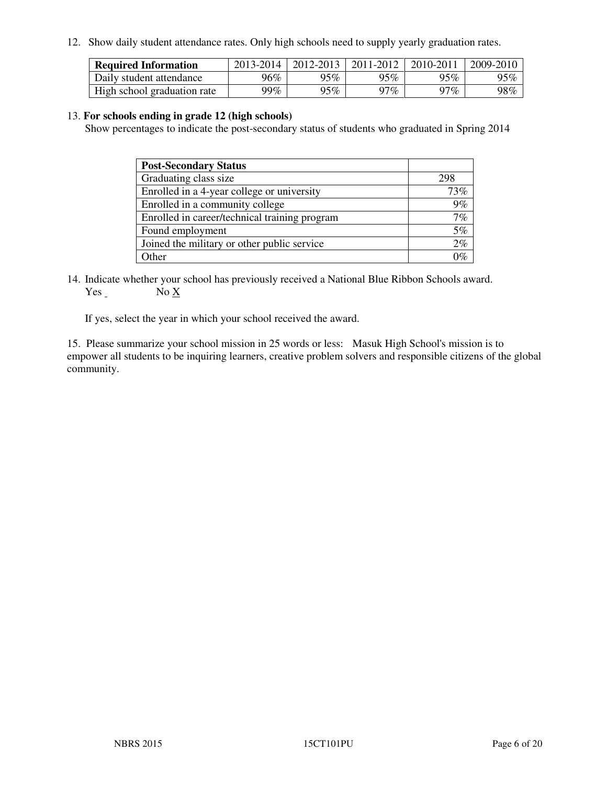12. Show daily student attendance rates. Only high schools need to supply yearly graduation rates.

| <b>Required Information</b> | 2013-2014 | 2012-2013 | 2011-2012 | 2010-2011 | 2009-2010 |
|-----------------------------|-----------|-----------|-----------|-----------|-----------|
| Daily student attendance    | 96%       | 95%       | 95%       | 95%       | 95%       |
| High school graduation rate | 99%       | 95%       | 97%       | 97%       | 98%       |

#### 13. **For schools ending in grade 12 (high schools)**

Show percentages to indicate the post-secondary status of students who graduated in Spring 2014

| <b>Post-Secondary Status</b>                  |     |
|-----------------------------------------------|-----|
| Graduating class size                         | 298 |
| Enrolled in a 4-year college or university    | 73% |
| Enrolled in a community college               | 9%  |
| Enrolled in career/technical training program | 7%  |
| Found employment                              | 5%  |
| Joined the military or other public service   | 2%  |
| Other                                         | 101 |

14. Indicate whether your school has previously received a National Blue Ribbon Schools award. Yes No X

If yes, select the year in which your school received the award.

15. Please summarize your school mission in 25 words or less: Masuk High School's mission is to empower all students to be inquiring learners, creative problem solvers and responsible citizens of the global community.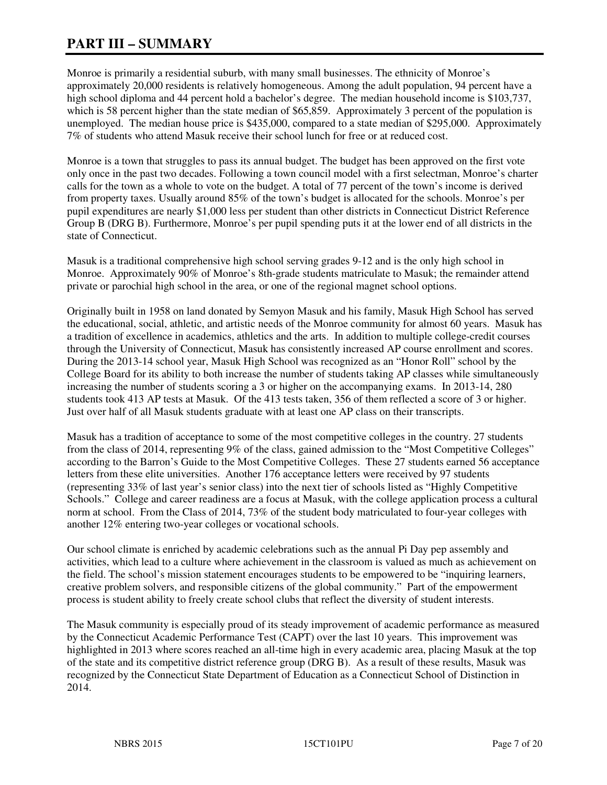# **PART III – SUMMARY**

Monroe is primarily a residential suburb, with many small businesses. The ethnicity of Monroe's approximately 20,000 residents is relatively homogeneous. Among the adult population, 94 percent have a high school diploma and 44 percent hold a bachelor's degree. The median household income is \$103,737, which is 58 percent higher than the state median of \$65,859. Approximately 3 percent of the population is unemployed. The median house price is \$435,000, compared to a state median of \$295,000. Approximately 7% of students who attend Masuk receive their school lunch for free or at reduced cost.

Monroe is a town that struggles to pass its annual budget. The budget has been approved on the first vote only once in the past two decades. Following a town council model with a first selectman, Monroe's charter calls for the town as a whole to vote on the budget. A total of 77 percent of the town's income is derived from property taxes. Usually around 85% of the town's budget is allocated for the schools. Monroe's per pupil expenditures are nearly \$1,000 less per student than other districts in Connecticut District Reference Group B (DRG B). Furthermore, Monroe's per pupil spending puts it at the lower end of all districts in the state of Connecticut.

Masuk is a traditional comprehensive high school serving grades 9-12 and is the only high school in Monroe. Approximately 90% of Monroe's 8th-grade students matriculate to Masuk; the remainder attend private or parochial high school in the area, or one of the regional magnet school options.

Originally built in 1958 on land donated by Semyon Masuk and his family, Masuk High School has served the educational, social, athletic, and artistic needs of the Monroe community for almost 60 years. Masuk has a tradition of excellence in academics, athletics and the arts. In addition to multiple college-credit courses through the University of Connecticut, Masuk has consistently increased AP course enrollment and scores. During the 2013-14 school year, Masuk High School was recognized as an "Honor Roll" school by the College Board for its ability to both increase the number of students taking AP classes while simultaneously increasing the number of students scoring a 3 or higher on the accompanying exams. In 2013-14, 280 students took 413 AP tests at Masuk. Of the 413 tests taken, 356 of them reflected a score of 3 or higher. Just over half of all Masuk students graduate with at least one AP class on their transcripts.

Masuk has a tradition of acceptance to some of the most competitive colleges in the country. 27 students from the class of 2014, representing 9% of the class, gained admission to the "Most Competitive Colleges" according to the Barron's Guide to the Most Competitive Colleges. These 27 students earned 56 acceptance letters from these elite universities. Another 176 acceptance letters were received by 97 students (representing 33% of last year's senior class) into the next tier of schools listed as "Highly Competitive Schools." College and career readiness are a focus at Masuk, with the college application process a cultural norm at school. From the Class of 2014, 73% of the student body matriculated to four-year colleges with another 12% entering two-year colleges or vocational schools.

Our school climate is enriched by academic celebrations such as the annual Pi Day pep assembly and activities, which lead to a culture where achievement in the classroom is valued as much as achievement on the field. The school's mission statement encourages students to be empowered to be "inquiring learners, creative problem solvers, and responsible citizens of the global community." Part of the empowerment process is student ability to freely create school clubs that reflect the diversity of student interests.

The Masuk community is especially proud of its steady improvement of academic performance as measured by the Connecticut Academic Performance Test (CAPT) over the last 10 years. This improvement was highlighted in 2013 where scores reached an all-time high in every academic area, placing Masuk at the top of the state and its competitive district reference group (DRG B). As a result of these results, Masuk was recognized by the Connecticut State Department of Education as a Connecticut School of Distinction in 2014.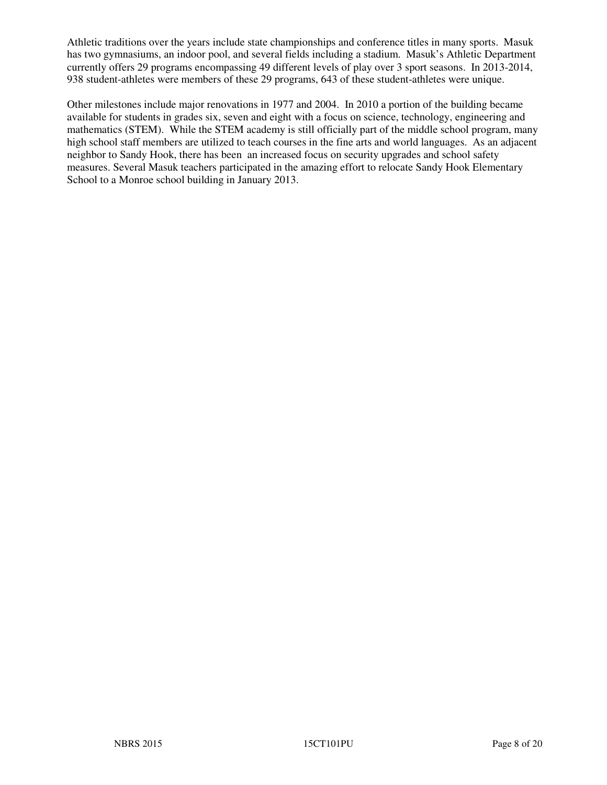Athletic traditions over the years include state championships and conference titles in many sports. Masuk has two gymnasiums, an indoor pool, and several fields including a stadium. Masuk's Athletic Department currently offers 29 programs encompassing 49 different levels of play over 3 sport seasons. In 2013-2014, 938 student-athletes were members of these 29 programs, 643 of these student-athletes were unique.

Other milestones include major renovations in 1977 and 2004. In 2010 a portion of the building became available for students in grades six, seven and eight with a focus on science, technology, engineering and mathematics (STEM). While the STEM academy is still officially part of the middle school program, many high school staff members are utilized to teach courses in the fine arts and world languages. As an adjacent neighbor to Sandy Hook, there has been an increased focus on security upgrades and school safety measures. Several Masuk teachers participated in the amazing effort to relocate Sandy Hook Elementary School to a Monroe school building in January 2013.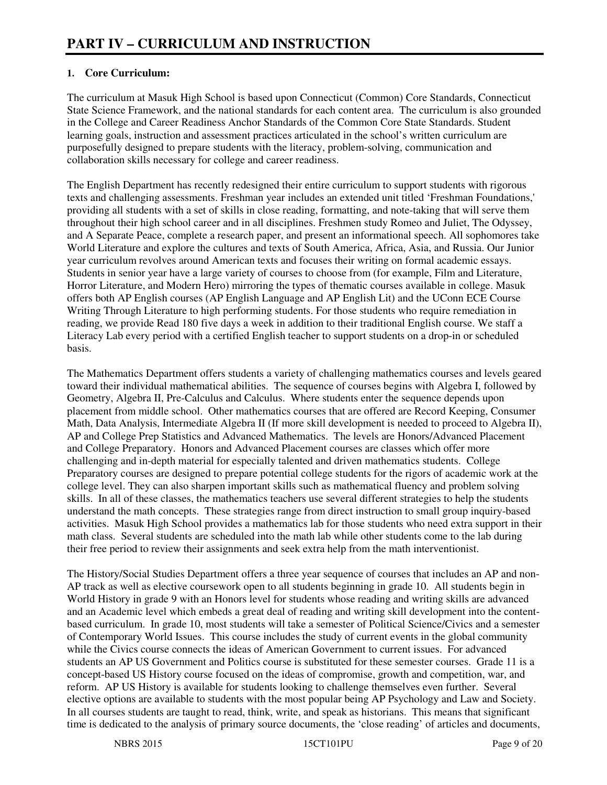# **1. Core Curriculum:**

The curriculum at Masuk High School is based upon Connecticut (Common) Core Standards, Connecticut State Science Framework, and the national standards for each content area. The curriculum is also grounded in the College and Career Readiness Anchor Standards of the Common Core State Standards. Student learning goals, instruction and assessment practices articulated in the school's written curriculum are purposefully designed to prepare students with the literacy, problem-solving, communication and collaboration skills necessary for college and career readiness.

The English Department has recently redesigned their entire curriculum to support students with rigorous texts and challenging assessments. Freshman year includes an extended unit titled 'Freshman Foundations,' providing all students with a set of skills in close reading, formatting, and note-taking that will serve them throughout their high school career and in all disciplines. Freshmen study Romeo and Juliet, The Odyssey, and A Separate Peace, complete a research paper, and present an informational speech. All sophomores take World Literature and explore the cultures and texts of South America, Africa, Asia, and Russia. Our Junior year curriculum revolves around American texts and focuses their writing on formal academic essays. Students in senior year have a large variety of courses to choose from (for example, Film and Literature, Horror Literature, and Modern Hero) mirroring the types of thematic courses available in college. Masuk offers both AP English courses (AP English Language and AP English Lit) and the UConn ECE Course Writing Through Literature to high performing students. For those students who require remediation in reading, we provide Read 180 five days a week in addition to their traditional English course. We staff a Literacy Lab every period with a certified English teacher to support students on a drop-in or scheduled basis.

The Mathematics Department offers students a variety of challenging mathematics courses and levels geared toward their individual mathematical abilities. The sequence of courses begins with Algebra I, followed by Geometry, Algebra II, Pre-Calculus and Calculus. Where students enter the sequence depends upon placement from middle school. Other mathematics courses that are offered are Record Keeping, Consumer Math, Data Analysis, Intermediate Algebra II (If more skill development is needed to proceed to Algebra II), AP and College Prep Statistics and Advanced Mathematics. The levels are Honors/Advanced Placement and College Preparatory. Honors and Advanced Placement courses are classes which offer more challenging and in-depth material for especially talented and driven mathematics students. College Preparatory courses are designed to prepare potential college students for the rigors of academic work at the college level. They can also sharpen important skills such as mathematical fluency and problem solving skills. In all of these classes, the mathematics teachers use several different strategies to help the students understand the math concepts. These strategies range from direct instruction to small group inquiry-based activities. Masuk High School provides a mathematics lab for those students who need extra support in their math class. Several students are scheduled into the math lab while other students come to the lab during their free period to review their assignments and seek extra help from the math interventionist.

The History/Social Studies Department offers a three year sequence of courses that includes an AP and non-AP track as well as elective coursework open to all students beginning in grade 10. All students begin in World History in grade 9 with an Honors level for students whose reading and writing skills are advanced and an Academic level which embeds a great deal of reading and writing skill development into the contentbased curriculum. In grade 10, most students will take a semester of Political Science/Civics and a semester of Contemporary World Issues. This course includes the study of current events in the global community while the Civics course connects the ideas of American Government to current issues. For advanced students an AP US Government and Politics course is substituted for these semester courses. Grade 11 is a concept-based US History course focused on the ideas of compromise, growth and competition, war, and reform. AP US History is available for students looking to challenge themselves even further. Several elective options are available to students with the most popular being AP Psychology and Law and Society. In all courses students are taught to read, think, write, and speak as historians. This means that significant time is dedicated to the analysis of primary source documents, the 'close reading' of articles and documents,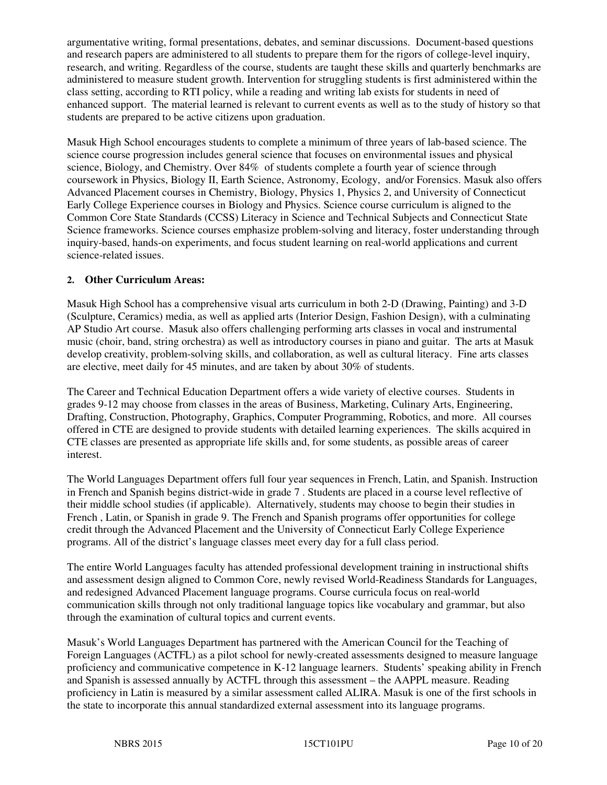argumentative writing, formal presentations, debates, and seminar discussions. Document-based questions and research papers are administered to all students to prepare them for the rigors of college-level inquiry, research, and writing. Regardless of the course, students are taught these skills and quarterly benchmarks are administered to measure student growth. Intervention for struggling students is first administered within the class setting, according to RTI policy, while a reading and writing lab exists for students in need of enhanced support. The material learned is relevant to current events as well as to the study of history so that students are prepared to be active citizens upon graduation.

Masuk High School encourages students to complete a minimum of three years of lab-based science. The science course progression includes general science that focuses on environmental issues and physical science, Biology, and Chemistry. Over 84% of students complete a fourth year of science through coursework in Physics, Biology II, Earth Science, Astronomy, Ecology, and/or Forensics. Masuk also offers Advanced Placement courses in Chemistry, Biology, Physics 1, Physics 2, and University of Connecticut Early College Experience courses in Biology and Physics. Science course curriculum is aligned to the Common Core State Standards (CCSS) Literacy in Science and Technical Subjects and Connecticut State Science frameworks. Science courses emphasize problem-solving and literacy, foster understanding through inquiry-based, hands-on experiments, and focus student learning on real-world applications and current science-related issues.

## **2. Other Curriculum Areas:**

Masuk High School has a comprehensive visual arts curriculum in both 2-D (Drawing, Painting) and 3-D (Sculpture, Ceramics) media, as well as applied arts (Interior Design, Fashion Design), with a culminating AP Studio Art course. Masuk also offers challenging performing arts classes in vocal and instrumental music (choir, band, string orchestra) as well as introductory courses in piano and guitar. The arts at Masuk develop creativity, problem-solving skills, and collaboration, as well as cultural literacy. Fine arts classes are elective, meet daily for 45 minutes, and are taken by about 30% of students.

The Career and Technical Education Department offers a wide variety of elective courses. Students in grades 9-12 may choose from classes in the areas of Business, Marketing, Culinary Arts, Engineering, Drafting, Construction, Photography, Graphics, Computer Programming, Robotics, and more. All courses offered in CTE are designed to provide students with detailed learning experiences. The skills acquired in CTE classes are presented as appropriate life skills and, for some students, as possible areas of career interest.

The World Languages Department offers full four year sequences in French, Latin, and Spanish. Instruction in French and Spanish begins district-wide in grade 7 . Students are placed in a course level reflective of their middle school studies (if applicable). Alternatively, students may choose to begin their studies in French , Latin, or Spanish in grade 9. The French and Spanish programs offer opportunities for college credit through the Advanced Placement and the University of Connecticut Early College Experience programs. All of the district's language classes meet every day for a full class period.

The entire World Languages faculty has attended professional development training in instructional shifts and assessment design aligned to Common Core, newly revised World-Readiness Standards for Languages, and redesigned Advanced Placement language programs. Course curricula focus on real-world communication skills through not only traditional language topics like vocabulary and grammar, but also through the examination of cultural topics and current events.

Masuk's World Languages Department has partnered with the American Council for the Teaching of Foreign Languages (ACTFL) as a pilot school for newly-created assessments designed to measure language proficiency and communicative competence in K-12 language learners. Students' speaking ability in French and Spanish is assessed annually by ACTFL through this assessment – the AAPPL measure. Reading proficiency in Latin is measured by a similar assessment called ALIRA. Masuk is one of the first schools in the state to incorporate this annual standardized external assessment into its language programs.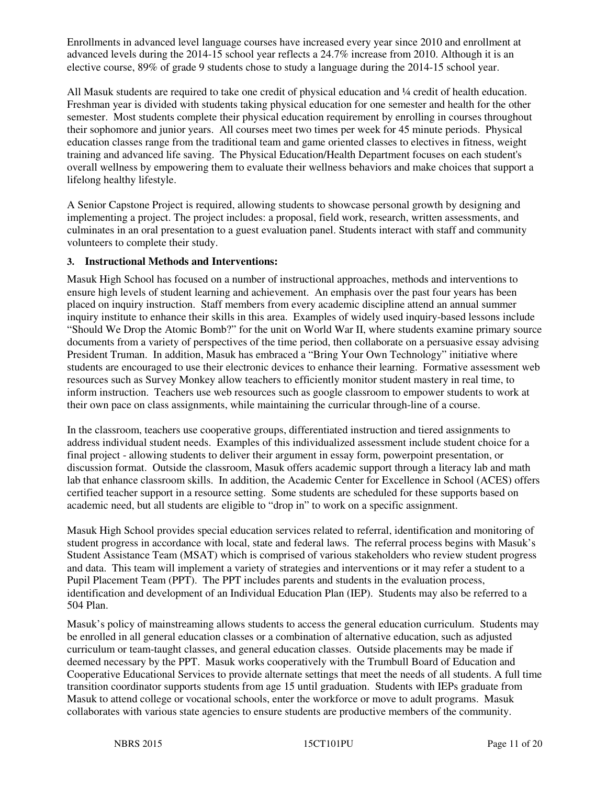Enrollments in advanced level language courses have increased every year since 2010 and enrollment at advanced levels during the 2014-15 school year reflects a 24.7% increase from 2010. Although it is an elective course, 89% of grade 9 students chose to study a language during the 2014-15 school year.

All Masuk students are required to take one credit of physical education and ¼ credit of health education. Freshman year is divided with students taking physical education for one semester and health for the other semester. Most students complete their physical education requirement by enrolling in courses throughout their sophomore and junior years. All courses meet two times per week for 45 minute periods. Physical education classes range from the traditional team and game oriented classes to electives in fitness, weight training and advanced life saving. The Physical Education/Health Department focuses on each student's overall wellness by empowering them to evaluate their wellness behaviors and make choices that support a lifelong healthy lifestyle.

A Senior Capstone Project is required, allowing students to showcase personal growth by designing and implementing a project. The project includes: a proposal, field work, research, written assessments, and culminates in an oral presentation to a guest evaluation panel. Students interact with staff and community volunteers to complete their study.

#### **3. Instructional Methods and Interventions:**

Masuk High School has focused on a number of instructional approaches, methods and interventions to ensure high levels of student learning and achievement. An emphasis over the past four years has been placed on inquiry instruction. Staff members from every academic discipline attend an annual summer inquiry institute to enhance their skills in this area. Examples of widely used inquiry-based lessons include "Should We Drop the Atomic Bomb?" for the unit on World War II, where students examine primary source documents from a variety of perspectives of the time period, then collaborate on a persuasive essay advising President Truman. In addition, Masuk has embraced a "Bring Your Own Technology" initiative where students are encouraged to use their electronic devices to enhance their learning. Formative assessment web resources such as Survey Monkey allow teachers to efficiently monitor student mastery in real time, to inform instruction. Teachers use web resources such as google classroom to empower students to work at their own pace on class assignments, while maintaining the curricular through-line of a course.

In the classroom, teachers use cooperative groups, differentiated instruction and tiered assignments to address individual student needs. Examples of this individualized assessment include student choice for a final project - allowing students to deliver their argument in essay form, powerpoint presentation, or discussion format. Outside the classroom, Masuk offers academic support through a literacy lab and math lab that enhance classroom skills. In addition, the Academic Center for Excellence in School (ACES) offers certified teacher support in a resource setting. Some students are scheduled for these supports based on academic need, but all students are eligible to "drop in" to work on a specific assignment.

Masuk High School provides special education services related to referral, identification and monitoring of student progress in accordance with local, state and federal laws. The referral process begins with Masuk's Student Assistance Team (MSAT) which is comprised of various stakeholders who review student progress and data. This team will implement a variety of strategies and interventions or it may refer a student to a Pupil Placement Team (PPT). The PPT includes parents and students in the evaluation process, identification and development of an Individual Education Plan (IEP). Students may also be referred to a 504 Plan.

Masuk's policy of mainstreaming allows students to access the general education curriculum. Students may be enrolled in all general education classes or a combination of alternative education, such as adjusted curriculum or team-taught classes, and general education classes. Outside placements may be made if deemed necessary by the PPT. Masuk works cooperatively with the Trumbull Board of Education and Cooperative Educational Services to provide alternate settings that meet the needs of all students. A full time transition coordinator supports students from age 15 until graduation. Students with IEPs graduate from Masuk to attend college or vocational schools, enter the workforce or move to adult programs. Masuk collaborates with various state agencies to ensure students are productive members of the community.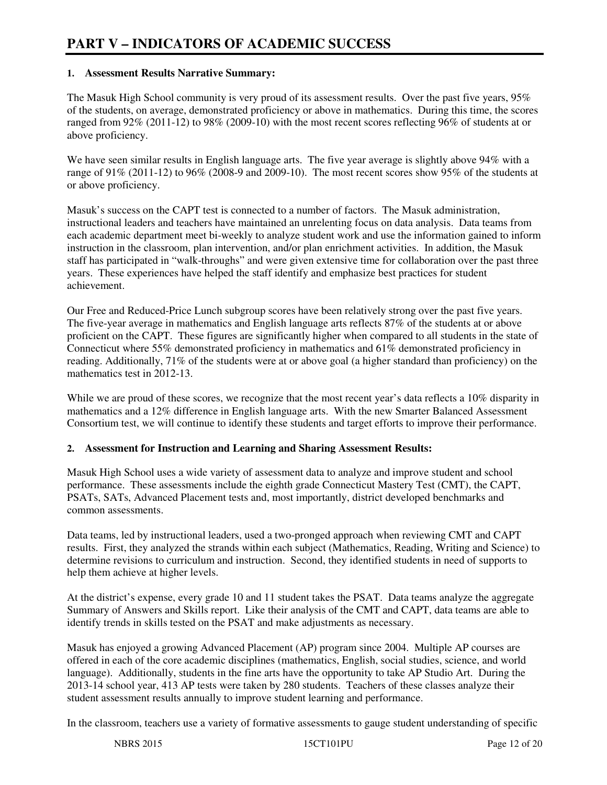#### **1. Assessment Results Narrative Summary:**

The Masuk High School community is very proud of its assessment results. Over the past five years, 95% of the students, on average, demonstrated proficiency or above in mathematics. During this time, the scores ranged from 92% (2011-12) to 98% (2009-10) with the most recent scores reflecting 96% of students at or above proficiency.

We have seen similar results in English language arts. The five year average is slightly above 94% with a range of 91% (2011-12) to 96% (2008-9 and 2009-10). The most recent scores show 95% of the students at or above proficiency.

Masuk's success on the CAPT test is connected to a number of factors. The Masuk administration, instructional leaders and teachers have maintained an unrelenting focus on data analysis. Data teams from each academic department meet bi-weekly to analyze student work and use the information gained to inform instruction in the classroom, plan intervention, and/or plan enrichment activities. In addition, the Masuk staff has participated in "walk-throughs" and were given extensive time for collaboration over the past three years. These experiences have helped the staff identify and emphasize best practices for student achievement.

Our Free and Reduced-Price Lunch subgroup scores have been relatively strong over the past five years. The five-year average in mathematics and English language arts reflects 87% of the students at or above proficient on the CAPT. These figures are significantly higher when compared to all students in the state of Connecticut where 55% demonstrated proficiency in mathematics and  $61\%$  demonstrated proficiency in reading. Additionally, 71% of the students were at or above goal (a higher standard than proficiency) on the mathematics test in 2012-13.

While we are proud of these scores, we recognize that the most recent year's data reflects a 10% disparity in mathematics and a 12% difference in English language arts. With the new Smarter Balanced Assessment Consortium test, we will continue to identify these students and target efforts to improve their performance.

#### **2. Assessment for Instruction and Learning and Sharing Assessment Results:**

Masuk High School uses a wide variety of assessment data to analyze and improve student and school performance. These assessments include the eighth grade Connecticut Mastery Test (CMT), the CAPT, PSATs, SATs, Advanced Placement tests and, most importantly, district developed benchmarks and common assessments.

Data teams, led by instructional leaders, used a two-pronged approach when reviewing CMT and CAPT results. First, they analyzed the strands within each subject (Mathematics, Reading, Writing and Science) to determine revisions to curriculum and instruction. Second, they identified students in need of supports to help them achieve at higher levels.

At the district's expense, every grade 10 and 11 student takes the PSAT. Data teams analyze the aggregate Summary of Answers and Skills report. Like their analysis of the CMT and CAPT, data teams are able to identify trends in skills tested on the PSAT and make adjustments as necessary.

Masuk has enjoyed a growing Advanced Placement (AP) program since 2004. Multiple AP courses are offered in each of the core academic disciplines (mathematics, English, social studies, science, and world language). Additionally, students in the fine arts have the opportunity to take AP Studio Art. During the 2013-14 school year, 413 AP tests were taken by 280 students. Teachers of these classes analyze their student assessment results annually to improve student learning and performance.

In the classroom, teachers use a variety of formative assessments to gauge student understanding of specific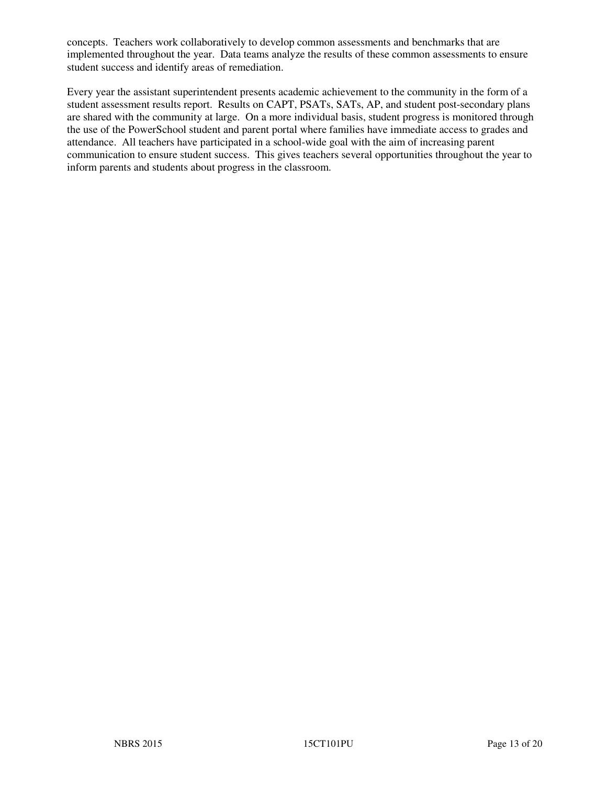concepts. Teachers work collaboratively to develop common assessments and benchmarks that are implemented throughout the year. Data teams analyze the results of these common assessments to ensure student success and identify areas of remediation.

Every year the assistant superintendent presents academic achievement to the community in the form of a student assessment results report. Results on CAPT, PSATs, SATs, AP, and student post-secondary plans are shared with the community at large. On a more individual basis, student progress is monitored through the use of the PowerSchool student and parent portal where families have immediate access to grades and attendance. All teachers have participated in a school-wide goal with the aim of increasing parent communication to ensure student success. This gives teachers several opportunities throughout the year to inform parents and students about progress in the classroom.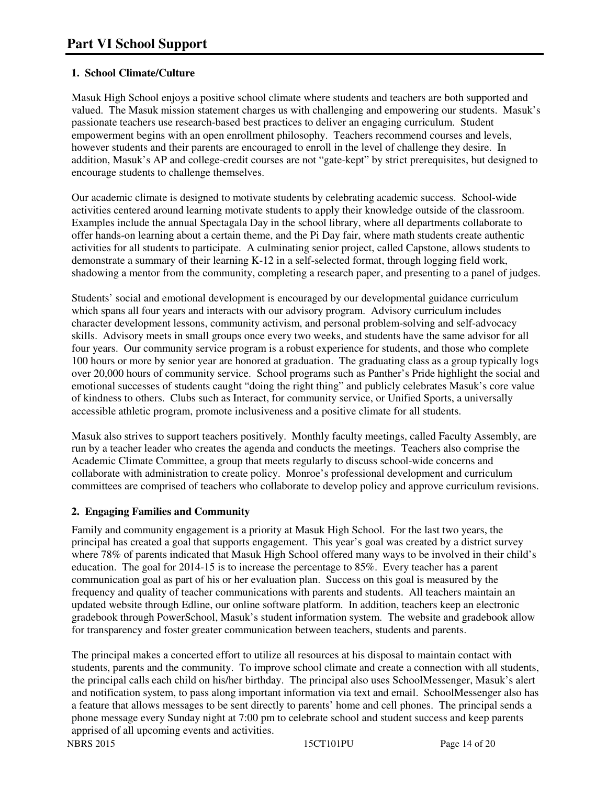# **1. School Climate/Culture**

Masuk High School enjoys a positive school climate where students and teachers are both supported and valued. The Masuk mission statement charges us with challenging and empowering our students. Masuk's passionate teachers use research-based best practices to deliver an engaging curriculum. Student empowerment begins with an open enrollment philosophy. Teachers recommend courses and levels, however students and their parents are encouraged to enroll in the level of challenge they desire. In addition, Masuk's AP and college-credit courses are not "gate-kept" by strict prerequisites, but designed to encourage students to challenge themselves.

Our academic climate is designed to motivate students by celebrating academic success. School-wide activities centered around learning motivate students to apply their knowledge outside of the classroom. Examples include the annual Spectagala Day in the school library, where all departments collaborate to offer hands-on learning about a certain theme, and the Pi Day fair, where math students create authentic activities for all students to participate. A culminating senior project, called Capstone, allows students to demonstrate a summary of their learning K-12 in a self-selected format, through logging field work, shadowing a mentor from the community, completing a research paper, and presenting to a panel of judges.

Students' social and emotional development is encouraged by our developmental guidance curriculum which spans all four years and interacts with our advisory program. Advisory curriculum includes character development lessons, community activism, and personal problem-solving and self-advocacy skills. Advisory meets in small groups once every two weeks, and students have the same advisor for all four years. Our community service program is a robust experience for students, and those who complete 100 hours or more by senior year are honored at graduation. The graduating class as a group typically logs over 20,000 hours of community service. School programs such as Panther's Pride highlight the social and emotional successes of students caught "doing the right thing" and publicly celebrates Masuk's core value of kindness to others. Clubs such as Interact, for community service, or Unified Sports, a universally accessible athletic program, promote inclusiveness and a positive climate for all students.

Masuk also strives to support teachers positively. Monthly faculty meetings, called Faculty Assembly, are run by a teacher leader who creates the agenda and conducts the meetings. Teachers also comprise the Academic Climate Committee, a group that meets regularly to discuss school-wide concerns and collaborate with administration to create policy. Monroe's professional development and curriculum committees are comprised of teachers who collaborate to develop policy and approve curriculum revisions.

## **2. Engaging Families and Community**

Family and community engagement is a priority at Masuk High School. For the last two years, the principal has created a goal that supports engagement. This year's goal was created by a district survey where 78% of parents indicated that Masuk High School offered many ways to be involved in their child's education. The goal for 2014-15 is to increase the percentage to 85%. Every teacher has a parent communication goal as part of his or her evaluation plan. Success on this goal is measured by the frequency and quality of teacher communications with parents and students. All teachers maintain an updated website through Edline, our online software platform. In addition, teachers keep an electronic gradebook through PowerSchool, Masuk's student information system. The website and gradebook allow for transparency and foster greater communication between teachers, students and parents.

The principal makes a concerted effort to utilize all resources at his disposal to maintain contact with students, parents and the community. To improve school climate and create a connection with all students, the principal calls each child on his/her birthday. The principal also uses SchoolMessenger, Masuk's alert and notification system, to pass along important information via text and email. SchoolMessenger also has a feature that allows messages to be sent directly to parents' home and cell phones. The principal sends a phone message every Sunday night at 7:00 pm to celebrate school and student success and keep parents apprised of all upcoming events and activities.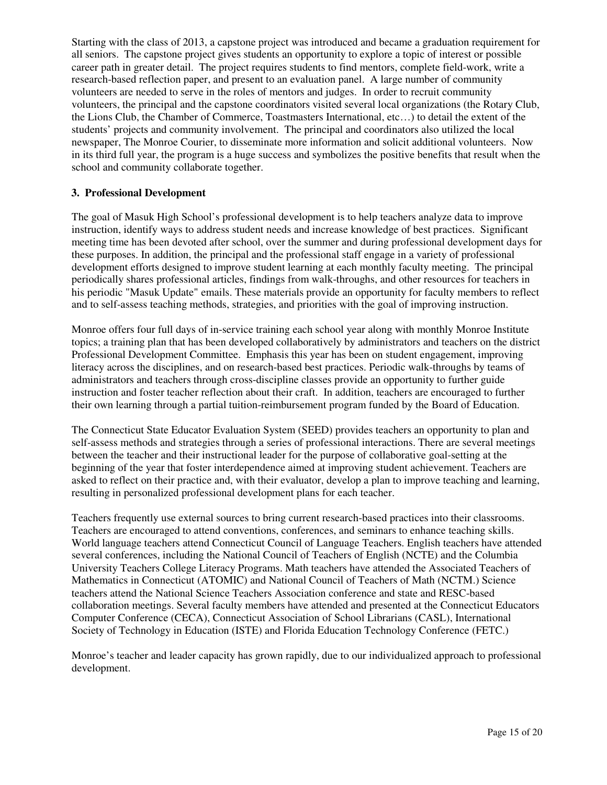Starting with the class of 2013, a capstone project was introduced and became a graduation requirement for all seniors. The capstone project gives students an opportunity to explore a topic of interest or possible career path in greater detail. The project requires students to find mentors, complete field-work, write a research-based reflection paper, and present to an evaluation panel. A large number of community volunteers are needed to serve in the roles of mentors and judges. In order to recruit community volunteers, the principal and the capstone coordinators visited several local organizations (the Rotary Club, the Lions Club, the Chamber of Commerce, Toastmasters International, etc…) to detail the extent of the students' projects and community involvement. The principal and coordinators also utilized the local newspaper, The Monroe Courier, to disseminate more information and solicit additional volunteers. Now in its third full year, the program is a huge success and symbolizes the positive benefits that result when the school and community collaborate together.

#### **3. Professional Development**

The goal of Masuk High School's professional development is to help teachers analyze data to improve instruction, identify ways to address student needs and increase knowledge of best practices. Significant meeting time has been devoted after school, over the summer and during professional development days for these purposes. In addition, the principal and the professional staff engage in a variety of professional development efforts designed to improve student learning at each monthly faculty meeting. The principal periodically shares professional articles, findings from walk-throughs, and other resources for teachers in his periodic "Masuk Update" emails. These materials provide an opportunity for faculty members to reflect and to self-assess teaching methods, strategies, and priorities with the goal of improving instruction.

Monroe offers four full days of in-service training each school year along with monthly Monroe Institute topics; a training plan that has been developed collaboratively by administrators and teachers on the district Professional Development Committee. Emphasis this year has been on student engagement, improving literacy across the disciplines, and on research-based best practices. Periodic walk-throughs by teams of administrators and teachers through cross-discipline classes provide an opportunity to further guide instruction and foster teacher reflection about their craft. In addition, teachers are encouraged to further their own learning through a partial tuition-reimbursement program funded by the Board of Education.

The Connecticut State Educator Evaluation System (SEED) provides teachers an opportunity to plan and self-assess methods and strategies through a series of professional interactions. There are several meetings between the teacher and their instructional leader for the purpose of collaborative goal-setting at the beginning of the year that foster interdependence aimed at improving student achievement. Teachers are asked to reflect on their practice and, with their evaluator, develop a plan to improve teaching and learning, resulting in personalized professional development plans for each teacher.

Teachers frequently use external sources to bring current research-based practices into their classrooms. Teachers are encouraged to attend conventions, conferences, and seminars to enhance teaching skills. World language teachers attend Connecticut Council of Language Teachers. English teachers have attended several conferences, including the National Council of Teachers of English (NCTE) and the Columbia University Teachers College Literacy Programs. Math teachers have attended the Associated Teachers of Mathematics in Connecticut (ATOMIC) and National Council of Teachers of Math (NCTM.) Science teachers attend the National Science Teachers Association conference and state and RESC-based collaboration meetings. Several faculty members have attended and presented at the Connecticut Educators Computer Conference (CECA), Connecticut Association of School Librarians (CASL), International Society of Technology in Education (ISTE) and Florida Education Technology Conference (FETC.)

Monroe's teacher and leader capacity has grown rapidly, due to our individualized approach to professional development.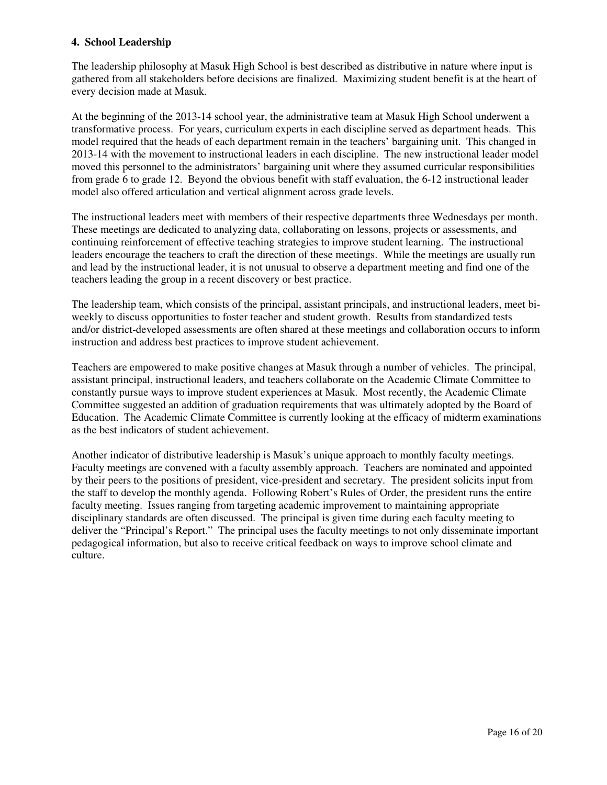#### **4. School Leadership**

The leadership philosophy at Masuk High School is best described as distributive in nature where input is gathered from all stakeholders before decisions are finalized. Maximizing student benefit is at the heart of every decision made at Masuk.

At the beginning of the 2013-14 school year, the administrative team at Masuk High School underwent a transformative process. For years, curriculum experts in each discipline served as department heads. This model required that the heads of each department remain in the teachers' bargaining unit. This changed in 2013-14 with the movement to instructional leaders in each discipline. The new instructional leader model moved this personnel to the administrators' bargaining unit where they assumed curricular responsibilities from grade 6 to grade 12. Beyond the obvious benefit with staff evaluation, the 6-12 instructional leader model also offered articulation and vertical alignment across grade levels.

The instructional leaders meet with members of their respective departments three Wednesdays per month. These meetings are dedicated to analyzing data, collaborating on lessons, projects or assessments, and continuing reinforcement of effective teaching strategies to improve student learning. The instructional leaders encourage the teachers to craft the direction of these meetings. While the meetings are usually run and lead by the instructional leader, it is not unusual to observe a department meeting and find one of the teachers leading the group in a recent discovery or best practice.

The leadership team, which consists of the principal, assistant principals, and instructional leaders, meet biweekly to discuss opportunities to foster teacher and student growth. Results from standardized tests and/or district-developed assessments are often shared at these meetings and collaboration occurs to inform instruction and address best practices to improve student achievement.

Teachers are empowered to make positive changes at Masuk through a number of vehicles. The principal, assistant principal, instructional leaders, and teachers collaborate on the Academic Climate Committee to constantly pursue ways to improve student experiences at Masuk. Most recently, the Academic Climate Committee suggested an addition of graduation requirements that was ultimately adopted by the Board of Education. The Academic Climate Committee is currently looking at the efficacy of midterm examinations as the best indicators of student achievement.

Another indicator of distributive leadership is Masuk's unique approach to monthly faculty meetings. Faculty meetings are convened with a faculty assembly approach. Teachers are nominated and appointed by their peers to the positions of president, vice-president and secretary. The president solicits input from the staff to develop the monthly agenda. Following Robert's Rules of Order, the president runs the entire faculty meeting. Issues ranging from targeting academic improvement to maintaining appropriate disciplinary standards are often discussed. The principal is given time during each faculty meeting to deliver the "Principal's Report." The principal uses the faculty meetings to not only disseminate important pedagogical information, but also to receive critical feedback on ways to improve school climate and culture.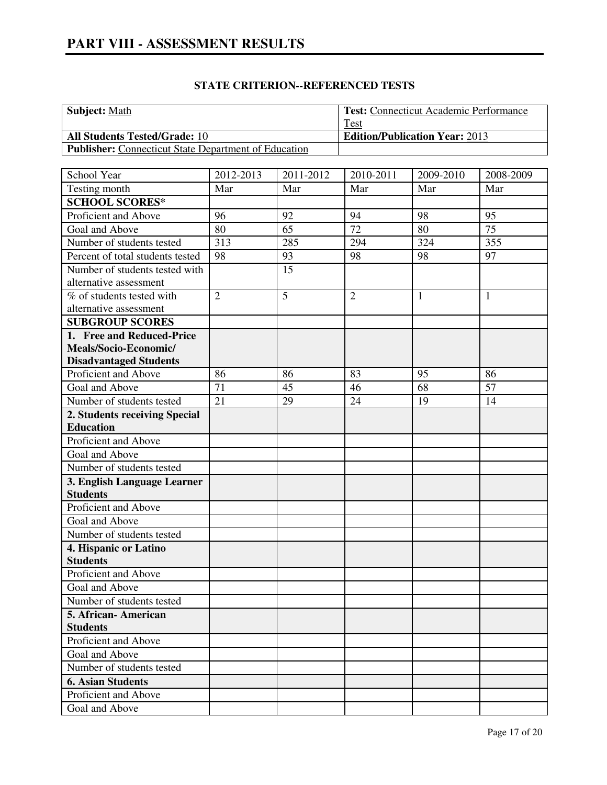# **STATE CRITERION--REFERENCED TESTS**

| <b>Subject:</b> Math                                        | <b>Test:</b> Connecticut Academic Performance |
|-------------------------------------------------------------|-----------------------------------------------|
|                                                             | Test                                          |
| <b>All Students Tested/Grade: 10</b>                        | <b>Edition/Publication Year: 2013</b>         |
| <b>Publisher:</b> Connecticut State Department of Education |                                               |

| School Year                             | 2012-2013      | 2011-2012 | 2010-2011      | 2009-2010    | 2008-2009    |
|-----------------------------------------|----------------|-----------|----------------|--------------|--------------|
| Testing month                           | Mar            | Mar       | Mar            | Mar          | Mar          |
| <b>SCHOOL SCORES*</b>                   |                |           |                |              |              |
| Proficient and Above                    | 96             | 92        | 94             | 98           | 95           |
| Goal and Above                          | 80             | 65        | 72             | 80           | 75           |
| Number of students tested               | 313            | 285       | 294            | 324          | 355          |
| Percent of total students tested        | 98             | 93        | 98             | 98           | 97           |
| Number of students tested with          |                | 15        |                |              |              |
| alternative assessment                  |                |           |                |              |              |
| % of students tested with               | $\overline{2}$ | 5         | $\overline{2}$ | $\mathbf{1}$ | $\mathbf{1}$ |
| alternative assessment                  |                |           |                |              |              |
| <b>SUBGROUP SCORES</b>                  |                |           |                |              |              |
| 1. Free and Reduced-Price               |                |           |                |              |              |
| Meals/Socio-Economic/                   |                |           |                |              |              |
| <b>Disadvantaged Students</b>           |                |           |                |              |              |
| Proficient and Above                    | 86             | 86        | 83             | 95           | 86           |
| Goal and Above                          | 71             | 45        | 46             | 68           | 57           |
| Number of students tested               | 21             | 29        | 24             | 19           | 14           |
| 2. Students receiving Special           |                |           |                |              |              |
| <b>Education</b>                        |                |           |                |              |              |
| Proficient and Above                    |                |           |                |              |              |
| Goal and Above                          |                |           |                |              |              |
| Number of students tested               |                |           |                |              |              |
| 3. English Language Learner             |                |           |                |              |              |
| <b>Students</b>                         |                |           |                |              |              |
| Proficient and Above                    |                |           |                |              |              |
| Goal and Above                          |                |           |                |              |              |
| Number of students tested               |                |           |                |              |              |
| 4. Hispanic or Latino                   |                |           |                |              |              |
| <b>Students</b>                         |                |           |                |              |              |
| Proficient and Above                    |                |           |                |              |              |
| Goal and Above                          |                |           |                |              |              |
| Number of students tested               |                |           |                |              |              |
| 5. African-American                     |                |           |                |              |              |
| <b>Students</b><br>Proficient and Above |                |           |                |              |              |
| Goal and Above                          |                |           |                |              |              |
| Number of students tested               |                |           |                |              |              |
|                                         |                |           |                |              |              |
| <b>6. Asian Students</b>                |                |           |                |              |              |
| Proficient and Above                    |                |           |                |              |              |
| Goal and Above                          |                |           |                |              |              |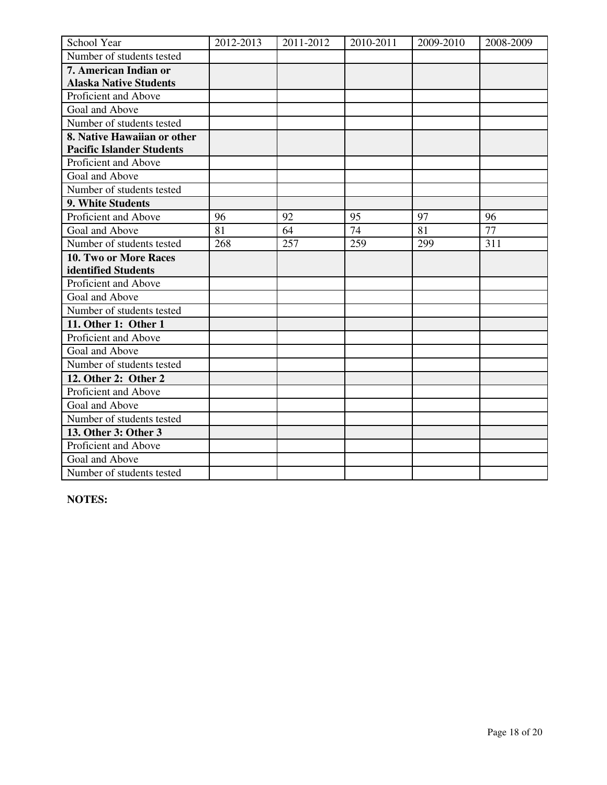| School Year                      | 2012-2013 | 2011-2012 | 2010-2011 | 2009-2010 | 2008-2009 |
|----------------------------------|-----------|-----------|-----------|-----------|-----------|
| Number of students tested        |           |           |           |           |           |
| 7. American Indian or            |           |           |           |           |           |
| <b>Alaska Native Students</b>    |           |           |           |           |           |
| Proficient and Above             |           |           |           |           |           |
| Goal and Above                   |           |           |           |           |           |
| Number of students tested        |           |           |           |           |           |
| 8. Native Hawaiian or other      |           |           |           |           |           |
| <b>Pacific Islander Students</b> |           |           |           |           |           |
| Proficient and Above             |           |           |           |           |           |
| Goal and Above                   |           |           |           |           |           |
| Number of students tested        |           |           |           |           |           |
| 9. White Students                |           |           |           |           |           |
| Proficient and Above             | 96        | 92        | 95        | 97        | 96        |
| Goal and Above                   | 81        | 64        | 74        | 81        | 77        |
| Number of students tested        | 268       | 257       | 259       | 299       | 311       |
| <b>10. Two or More Races</b>     |           |           |           |           |           |
| identified Students              |           |           |           |           |           |
| Proficient and Above             |           |           |           |           |           |
| Goal and Above                   |           |           |           |           |           |
| Number of students tested        |           |           |           |           |           |
| 11. Other 1: Other 1             |           |           |           |           |           |
| Proficient and Above             |           |           |           |           |           |
| Goal and Above                   |           |           |           |           |           |
| Number of students tested        |           |           |           |           |           |
| 12. Other 2: Other 2             |           |           |           |           |           |
| Proficient and Above             |           |           |           |           |           |
| Goal and Above                   |           |           |           |           |           |
| Number of students tested        |           |           |           |           |           |
| 13. Other 3: Other 3             |           |           |           |           |           |
| Proficient and Above             |           |           |           |           |           |
| Goal and Above                   |           |           |           |           |           |
| Number of students tested        |           |           |           |           |           |

**NOTES:**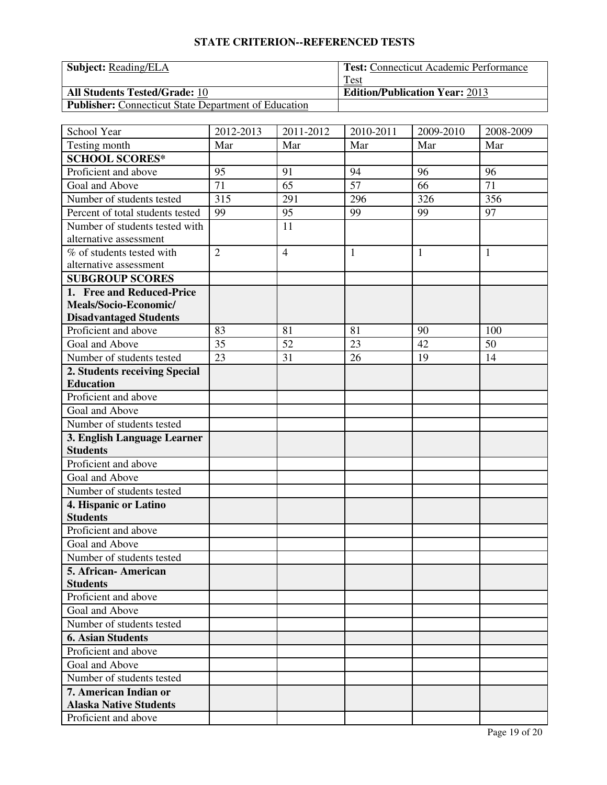# **STATE CRITERION--REFERENCED TESTS**

| <b>Subject:</b> Reading/ELA                                 | <b>Test: Connecticut Academic Performance</b> |
|-------------------------------------------------------------|-----------------------------------------------|
|                                                             | Test                                          |
| <b>All Students Tested/Grade: 10</b>                        | <b>Edition/Publication Year: 2013</b>         |
| <b>Publisher:</b> Connecticut State Department of Education |                                               |

| School Year                      | 2012-2013      | 2011-2012      | 2010-2011    | 2009-2010 | 2008-2009    |
|----------------------------------|----------------|----------------|--------------|-----------|--------------|
| Testing month                    | Mar            | Mar            | Mar          | Mar       | Mar          |
| <b>SCHOOL SCORES*</b>            |                |                |              |           |              |
| Proficient and above             | 95             | 91             | 94           | 96        | 96           |
| Goal and Above                   | 71             | 65             | 57           | 66        | 71           |
| Number of students tested        | 315            | 291            | 296          | 326       | 356          |
| Percent of total students tested | 99             | 95             | 99           | 99        | 97           |
| Number of students tested with   |                | 11             |              |           |              |
| alternative assessment           |                |                |              |           |              |
| % of students tested with        | $\overline{2}$ | $\overline{4}$ | $\mathbf{1}$ | 1         | $\mathbf{1}$ |
| alternative assessment           |                |                |              |           |              |
| <b>SUBGROUP SCORES</b>           |                |                |              |           |              |
| 1. Free and Reduced-Price        |                |                |              |           |              |
| Meals/Socio-Economic/            |                |                |              |           |              |
| <b>Disadvantaged Students</b>    |                |                |              |           |              |
| Proficient and above             | 83             | 81             | 81           | 90        | 100          |
| Goal and Above                   | 35             | 52             | 23           | 42        | 50           |
| Number of students tested        | 23             | 31             | 26           | 19        | 14           |
| 2. Students receiving Special    |                |                |              |           |              |
| <b>Education</b>                 |                |                |              |           |              |
| Proficient and above             |                |                |              |           |              |
| Goal and Above                   |                |                |              |           |              |
| Number of students tested        |                |                |              |           |              |
| 3. English Language Learner      |                |                |              |           |              |
| <b>Students</b>                  |                |                |              |           |              |
| Proficient and above             |                |                |              |           |              |
| Goal and Above                   |                |                |              |           |              |
| Number of students tested        |                |                |              |           |              |
| 4. Hispanic or Latino            |                |                |              |           |              |
| <b>Students</b>                  |                |                |              |           |              |
| Proficient and above             |                |                |              |           |              |
| Goal and Above                   |                |                |              |           |              |
| Number of students tested        |                |                |              |           |              |
| 5. African - American            |                |                |              |           |              |
| <b>Students</b>                  |                |                |              |           |              |
| Proficient and above             |                |                |              |           |              |
| Goal and Above                   |                |                |              |           |              |
| Number of students tested        |                |                |              |           |              |
| <b>6. Asian Students</b>         |                |                |              |           |              |
| Proficient and above             |                |                |              |           |              |
| Goal and Above                   |                |                |              |           |              |
| Number of students tested        |                |                |              |           |              |
| 7. American Indian or            |                |                |              |           |              |
| <b>Alaska Native Students</b>    |                |                |              |           |              |
| Proficient and above             |                |                |              |           |              |